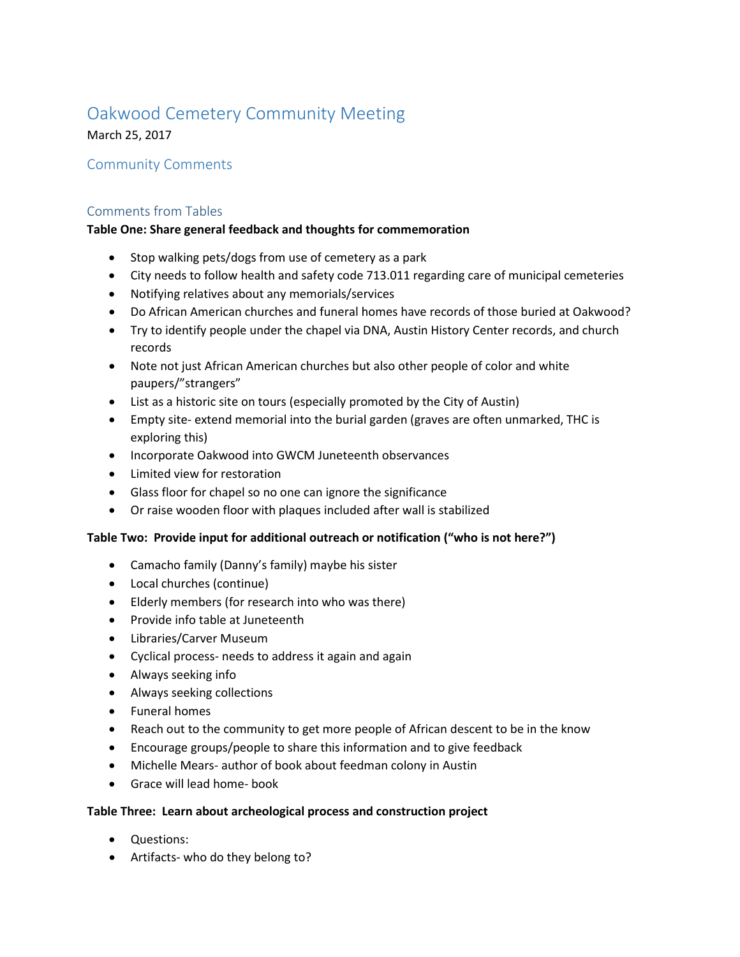# Oakwood Cemetery Community Meeting

March 25, 2017

## Community Comments

### Comments from Tables

#### **Table One: Share general feedback and thoughts for commemoration**

- Stop walking pets/dogs from use of cemetery as a park
- City needs to follow health and safety code 713.011 regarding care of municipal cemeteries
- Notifying relatives about any memorials/services
- Do African American churches and funeral homes have records of those buried at Oakwood?
- Try to identify people under the chapel via DNA, Austin History Center records, and church records
- Note not just African American churches but also other people of color and white paupers/"strangers"
- List as a historic site on tours (especially promoted by the City of Austin)
- Empty site- extend memorial into the burial garden (graves are often unmarked, THC is exploring this)
- Incorporate Oakwood into GWCM Juneteenth observances
- Limited view for restoration
- Glass floor for chapel so no one can ignore the significance
- Or raise wooden floor with plaques included after wall is stabilized

#### **Table Two: Provide input for additional outreach or notification ("who is not here?")**

- Camacho family (Danny's family) maybe his sister
- Local churches (continue)
- Elderly members (for research into who was there)
- Provide info table at Juneteenth
- Libraries/Carver Museum
- Cyclical process- needs to address it again and again
- Always seeking info
- Always seeking collections
- Funeral homes
- Reach out to the community to get more people of African descent to be in the know
- Encourage groups/people to share this information and to give feedback
- Michelle Mears- author of book about feedman colony in Austin
- Grace will lead home- book

#### **Table Three: Learn about archeological process and construction project**

- Questions:
- Artifacts- who do they belong to?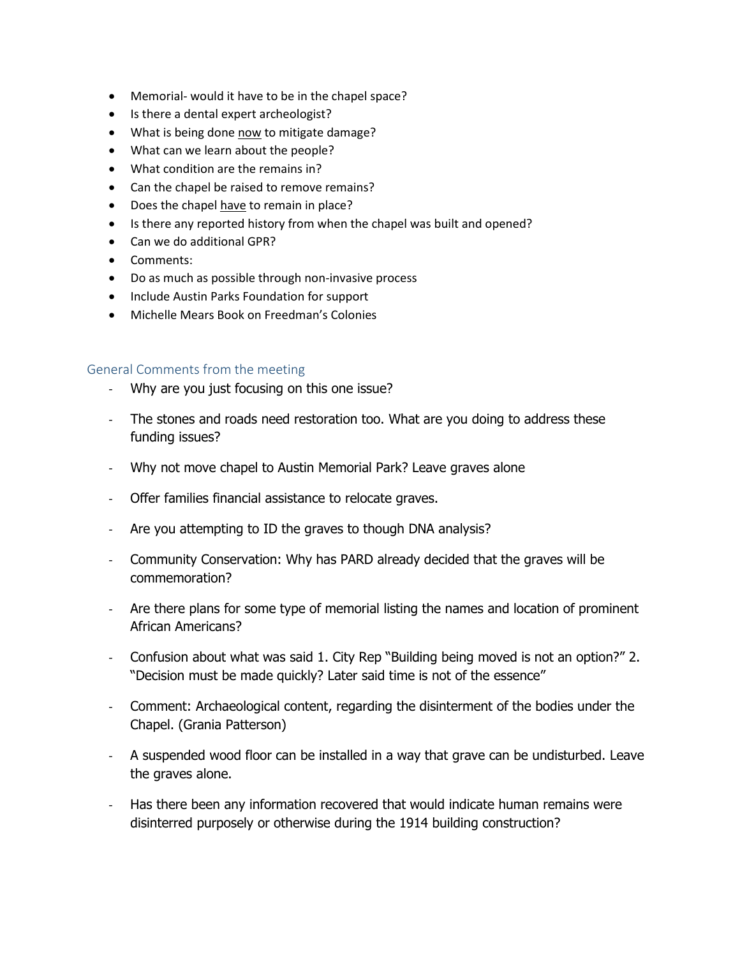- Memorial- would it have to be in the chapel space?
- Is there a dental expert archeologist?
- What is being done now to mitigate damage?
- What can we learn about the people?
- What condition are the remains in?
- Can the chapel be raised to remove remains?
- Does the chapel have to remain in place?
- Is there any reported history from when the chapel was built and opened?
- Can we do additional GPR?
- Comments:
- Do as much as possible through non-invasive process
- Include Austin Parks Foundation for support
- Michelle Mears Book on Freedman's Colonies

#### General Comments from the meeting

- Why are you just focusing on this one issue?
- The stones and roads need restoration too. What are you doing to address these funding issues?
- Why not move chapel to Austin Memorial Park? Leave graves alone
- Offer families financial assistance to relocate graves.
- Are you attempting to ID the graves to though DNA analysis?
- Community Conservation: Why has PARD already decided that the graves will be commemoration?
- Are there plans for some type of memorial listing the names and location of prominent African Americans?
- Confusion about what was said 1. City Rep "Building being moved is not an option?" 2. "Decision must be made quickly? Later said time is not of the essence"
- Comment: Archaeological content, regarding the disinterment of the bodies under the Chapel. (Grania Patterson)
- A suspended wood floor can be installed in a way that grave can be undisturbed. Leave the graves alone.
- Has there been any information recovered that would indicate human remains were disinterred purposely or otherwise during the 1914 building construction?